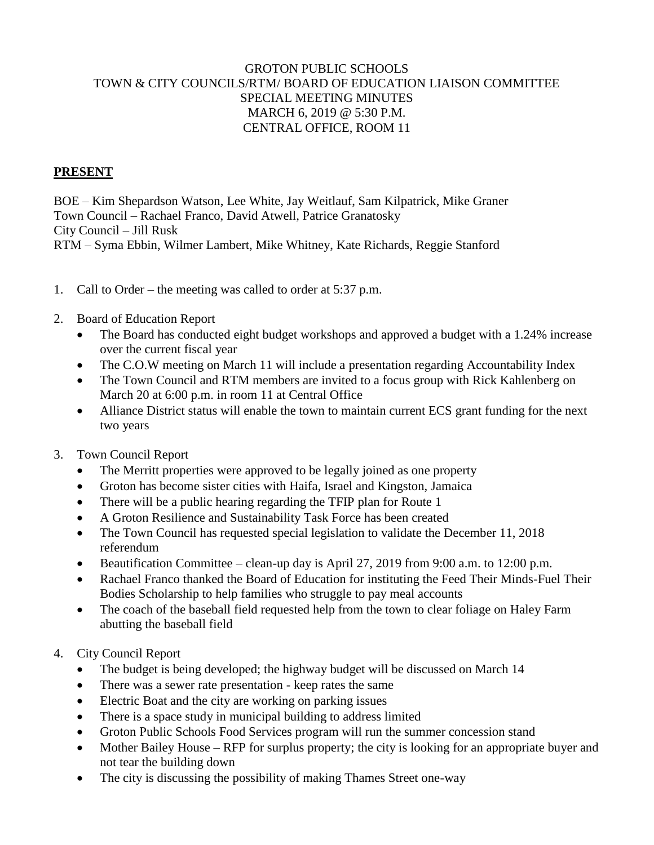## GROTON PUBLIC SCHOOLS TOWN & CITY COUNCILS/RTM/ BOARD OF EDUCATION LIAISON COMMITTEE SPECIAL MEETING MINUTES MARCH 6, 2019 @ 5:30 P.M. CENTRAL OFFICE, ROOM 11

## **PRESENT**

BOE – Kim Shepardson Watson, Lee White, Jay Weitlauf, Sam Kilpatrick, Mike Graner Town Council – Rachael Franco, David Atwell, Patrice Granatosky City Council – Jill Rusk RTM – Syma Ebbin, Wilmer Lambert, Mike Whitney, Kate Richards, Reggie Stanford

- 1. Call to Order the meeting was called to order at 5:37 p.m.
- 2. Board of Education Report
	- The Board has conducted eight budget workshops and approved a budget with a 1.24% increase over the current fiscal year
	- The C.O.W meeting on March 11 will include a presentation regarding Accountability Index
	- The Town Council and RTM members are invited to a focus group with Rick Kahlenberg on March 20 at 6:00 p.m. in room 11 at Central Office
	- Alliance District status will enable the town to maintain current ECS grant funding for the next two years
- 3. Town Council Report
	- The Merritt properties were approved to be legally joined as one property
	- Groton has become sister cities with Haifa, Israel and Kingston, Jamaica
	- There will be a public hearing regarding the TFIP plan for Route 1
	- A Groton Resilience and Sustainability Task Force has been created
	- The Town Council has requested special legislation to validate the December 11, 2018 referendum
	- Beautification Committee clean-up day is April 27, 2019 from 9:00 a.m. to 12:00 p.m.
	- Rachael Franco thanked the Board of Education for instituting the Feed Their Minds-Fuel Their Bodies Scholarship to help families who struggle to pay meal accounts
	- The coach of the baseball field requested help from the town to clear foliage on Haley Farm abutting the baseball field
- 4. City Council Report
	- The budget is being developed; the highway budget will be discussed on March 14
	- There was a sewer rate presentation keep rates the same
	- Electric Boat and the city are working on parking issues
	- There is a space study in municipal building to address limited
	- Groton Public Schools Food Services program will run the summer concession stand
	- Mother Bailey House RFP for surplus property; the city is looking for an appropriate buyer and not tear the building down
	- The city is discussing the possibility of making Thames Street one-way